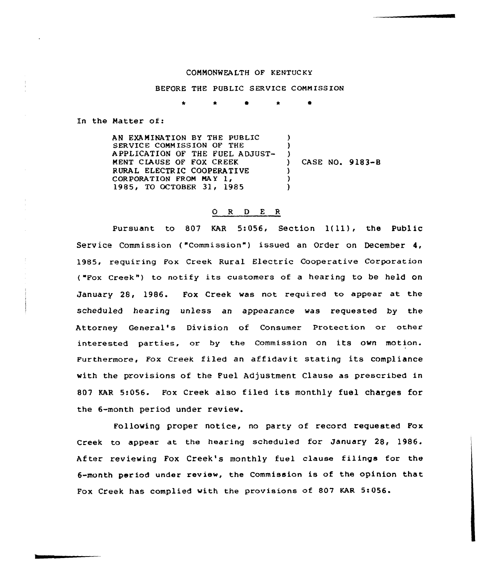## CONHONWEA LTH OF KENTUC KY

## BEFORE THE PUBLIC SERVICE CONN ISSION

\* \* 0 \*

In the Natter of:

AN EXAMINATION BY THE PUBLIC SERVICE COMMISSION OF THE APPLICATION OF THE FUEL ADJUST-MENT CIAUSE OF FOX CREEK RURAL ELECTRIC COOPERATIVE CORPORATION FROM MAY 1, 1985, TO OCTOBER 31, 1985 ) ) ) ) CASE NO. 9 183-<sup>B</sup> ) ) )

## 0 R <sup>D</sup> E R

Pursuant to 807 KAR 5:056, Section 1{11), the Public Service Commission ("Commission") issued an Order on December 4, 1985, requiring Fox Creek Rural Electric Cooperative Corporation ("Fox Creek") to notify its customers of a hearing to be held on January 28, 1986. Fox Creek was not required to appear at the scheduled hearing unless an appearance was requested by the Attorney General's Division of Consumer Protection or other interested parties, or by the Commission on its own motion. Furthermore, Fox Creek filed an affidavit stating its compliance with the provisions of the Fuel Adjustment Clause as prescribed in 807 WAR 5:056. Fox Creek also filed its monthly fuel charges for the 6-month period under review.

Following proper notice, no party of record requested Fox Creek to appear at the hearing scheduled for January 28, 1986. After reviewing Fox Creek's monthly fuel clause filings for the 6-month period under review, the Commission is of the opinion that Fox Creek has complied with the provisions of 807 KAR 5:056.